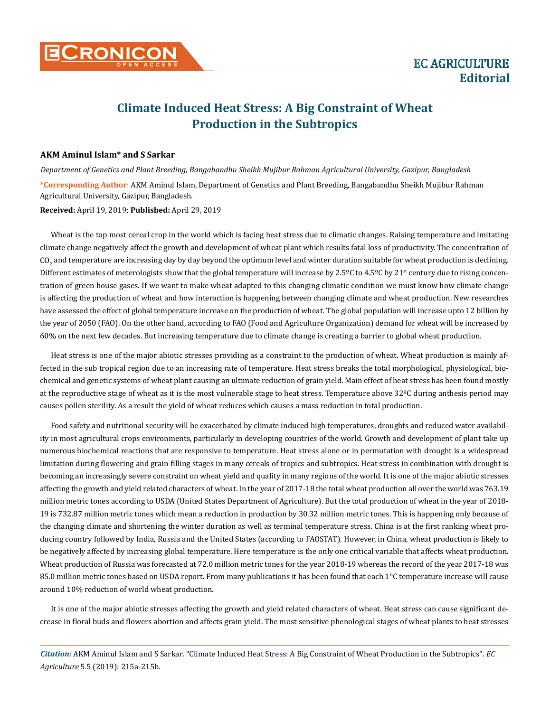## **Climate Induced Heat Stress: A Big Constraint of Wheat Production in the Subtropics**

## **AKM Aminul Islam\* and S Sarkar**

*Department of Genetics and Plant Breeding, Bangabandhu Sheikh Mujibur Rahman Agricultural University, Gazipur, Bangladesh* **\*Corresponding Author**: AKM Aminul Islam, Department of Genetics and Plant Breeding, Bangabandhu Sheikh Mujibur Rahman Agricultural University, Gazipur, Bangladesh.

## **Received:** April 19, 2019; **Published:** April 29, 2019

Wheat is the top most cereal crop in the world which is facing heat stress due to climatic changes. Raising temperature and imitating climate change negatively affect the growth and development of wheat plant which results fatal loss of productivity. The concentration of  ${\rm CO}_2$  and temperature are increasing day by day beyond the optimum level and winter duration suitable for wheat production is declining. Different estimates of meterologists show that the global temperature will increase by  $2.5^{\circ}$ C to  $4.5^{\circ}$ C by  $21^{\circ}$  century due to rising concentration of green house gases. If we want to make wheat adapted to this changing climatic condition we must know how climate change is affecting the production of wheat and how interaction is happening between changing climate and wheat production. New researches have assessed the effect of global temperature increase on the production of wheat. The global population will increase upto 12 billion by the year of 2050 (FAO). On the other hand, according to FAO (Food and Agriculture Organization) demand for wheat will be increased by 60% on the next few decades. But increasing temperature due to climate change is creating a barrier to global wheat production.

Heat stress is one of the major abiotic stresses providing as a constraint to the production of wheat. Wheat production is mainly affected in the sub tropical region due to an increasing rate of temperature. Heat stress breaks the total morphological, physiological, biochemical and genetic systems of wheat plant causing an ultimate reduction of grain yield. Main effect of heat stress has been found mostly at the reproductive stage of wheat as it is the most vulnerable stage to heat stress. Temperature above 32°C during anthesis period may causes pollen sterility. As a result the yield of wheat reduces which causes a mass reduction in total production.

Food safety and nutritional security will be exacerbated by climate induced high temperatures, droughts and reduced water availability in most agricultural crops environments, particularly in developing countries of the world. Growth and development of plant take up numerous biochemical reactions that are responsive to temperature. Heat stress alone or in permutation with drought is a widespread limitation during flowering and grain filling stages in many cereals of tropics and subtropics. Heat stress in combination with drought is becoming an increasingly severe constraint on wheat yield and quality in many regions of the world. It is one of the major abiotic stresses affecting the growth and yield related characters of wheat. In the year of 2017-18 the total wheat production all over the world was 763.19 million metric tones according to USDA (United States Department of Agriculture). But the total production of wheat in the year of 2018- 19 is 732.87 million metric tones which mean a reduction in production by 30.32 million metric tones. This is happening only because of the changing climate and shortening the winter duration as well as terminal temperature stress. China is at the first ranking wheat producing country followed by India, Russia and the United States (according to FAOSTAT). However, in China, wheat production is likely to be negatively affected by increasing global temperature. Here temperature is the only one critical variable that affects wheat production. Wheat production of Russia was forecasted at 72.0 million metric tones for the year 2018-19 whereas the record of the year 2017-18 was 85.0 million metric tones based on USDA report. From many publications it has been found that each 1ºC temperature increase will cause around 10% reduction of world wheat production.

It is one of the major abiotic stresses affecting the growth and yield related characters of wheat. Heat stress can cause significant decrease in floral buds and flowers abortion and affects grain yield. The most sensitive phenological stages of wheat plants to heat stresses

*Citation:* AKM Aminul Islam and S Sarkar*.* "Climate Induced Heat Stress: A Big Constraint of Wheat Production in the Subtropics". *EC Agriculture* 5.5 (2019): 215a-215b.